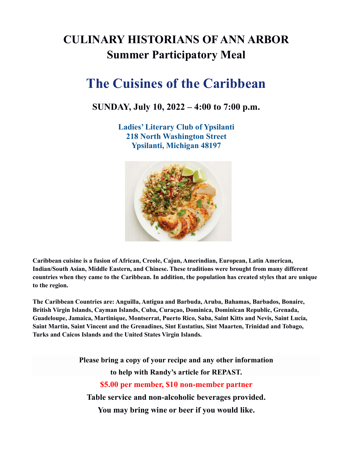## CULINARY HISTORIANS OF ANN ARBOR Summer Participatory Meal

# The Cuisines of the Caribbean

### SUNDAY, July 10, 2022 – 4:00 to 7:00 p.m.

Ladies' Literary Club of Ypsilanti 218 North Washington Street Ypsilanti, Michigan 48197



Caribbean cuisine is a fusion of African, Creole, Cajun, Amerindian, European, Latin American, Indian/South Asian, Middle Eastern, and Chinese. These traditions were brought from many different countries when they came to the Caribbean. In addition, the population has created styles that are unique to the region.

The Caribbean Countries are: Anguilla, Antigua and Barbuda, Aruba, Bahamas, Barbados, Bonaire, British Virgin Islands, Cayman Islands, Cuba, Curaçao, Dominica, Dominican Republic, Grenada, Guadeloupe, Jamaica, Martinique, Montserrat, Puerto Rico, Saba, Saint Kitts and Nevis, Saint Lucia, Saint Martin, Saint Vincent and the Grenadines, Sint Eustatius, Sint Maarten, Trinidad and Tobago, Turks and Caicos Islands and the United States Virgin Islands.

> Please bring a copy of your recipe and any other information to help with Randy's article for REPAST. \$5.00 per member, \$10 non-member partner Table service and non-alcoholic beverages provided. You may bring wine or beer if you would like.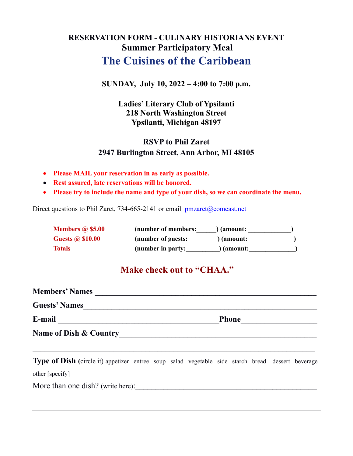## RESERVATION FORM - CULINARY HISTORIANS EVENT Summer Participatory Meal The Cuisines of the Caribbean

#### SUNDAY, July 10, 2022 – 4:00 to 7:00 p.m.

#### Ladies' Literary Club of Ypsilanti 218 North Washington Street Ypsilanti, Michigan 48197

### RSVP to Phil Zaret 2947 Burlington Street, Ann Arbor, MI 48105

- Please MAIL your reservation in as early as possible.
- Rest assured, late reservations will be honored.
- Please try to include the name and type of your dish, so we can coordinate the menu.

Direct questions to Phil Zaret, 734-665-2141 or email pmzaret@comcast.net

| <b>Members @ \$5.00</b> | (number of members: | ) (amount: |  |
|-------------------------|---------------------|------------|--|
| <b>Guests @ \$10.00</b> | (number of guests:  | ) (amount: |  |
| <b>Totals</b>           | (number in party:   | (amount:   |  |

## Make check out to "CHAA."

| Members' Names                                                                                    |  |  |  |  |  |  |  |  |  |
|---------------------------------------------------------------------------------------------------|--|--|--|--|--|--|--|--|--|
| <b>Guests' Names</b>                                                                              |  |  |  |  |  |  |  |  |  |
|                                                                                                   |  |  |  |  |  |  |  |  |  |
| Name of Dish & Country                                                                            |  |  |  |  |  |  |  |  |  |
| Type of Dish (circle it) appetizer entree soup salad vegetable side starch bread dessert beverage |  |  |  |  |  |  |  |  |  |
|                                                                                                   |  |  |  |  |  |  |  |  |  |

More than one dish? (write here):\_\_\_\_\_\_\_\_\_\_\_\_\_\_\_\_\_\_\_\_\_\_\_\_\_\_\_\_\_\_\_\_\_\_\_\_\_\_\_\_\_\_\_\_\_